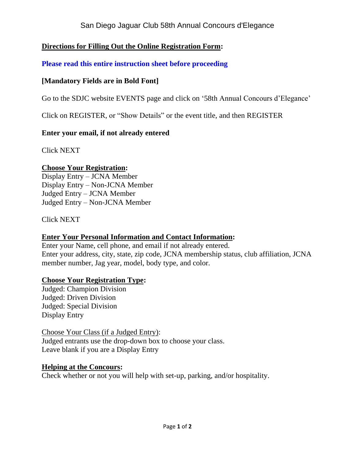# San Diego Jaguar Club 58th Annual Concours d'Elegance

# **Directions for Filling Out the Online Registration Form:**

**Please read this entire instruction sheet before proceeding**

# **[Mandatory Fields are in Bold Font]**

Go to the SDJC website EVENTS page and click on '58th Annual Concours d'Elegance'

Click on REGISTER, or "Show Details" or the event title, and then REGISTER

### **Enter your email, if not already entered**

Click NEXT

### **Choose Your Registration:**

Display Entry – JCNA Member Display Entry – Non-JCNA Member Judged Entry – JCNA Member Judged Entry – Non-JCNA Member

Click NEXT

## **Enter Your Personal Information and Contact Information:**

Enter your Name, cell phone, and email if not already entered. Enter your address, city, state, zip code, JCNA membership status, club affiliation, JCNA member number, Jag year, model, body type, and color.

## **Choose Your Registration Type:**

Judged: Champion Division Judged: Driven Division Judged: Special Division Display Entry

Choose Your Class (if a Judged Entry): Judged entrants use the drop-down box to choose your class. Leave blank if you are a Display Entry

### **Helping at the Concours:**

Check whether or not you will help with set-up, parking, and/or hospitality.